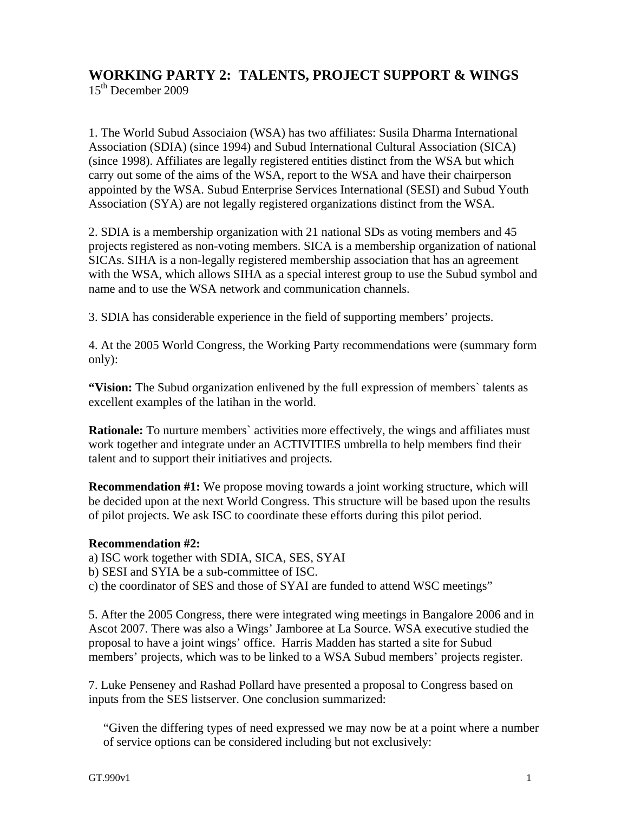## **WORKING PARTY 2: TALENTS, PROJECT SUPPORT & WINGS**  15<sup>th</sup> December 2009

1. The World Subud Associaion (WSA) has two affiliates: Susila Dharma International Association (SDIA) (since 1994) and Subud International Cultural Association (SICA) (since 1998). Affiliates are legally registered entities distinct from the WSA but which carry out some of the aims of the WSA, report to the WSA and have their chairperson appointed by the WSA. Subud Enterprise Services International (SESI) and Subud Youth Association (SYA) are not legally registered organizations distinct from the WSA.

2. SDIA is a membership organization with 21 national SDs as voting members and 45 projects registered as non-voting members. SICA is a membership organization of national SICAs. SIHA is a non-legally registered membership association that has an agreement with the WSA, which allows SIHA as a special interest group to use the Subud symbol and name and to use the WSA network and communication channels.

3. SDIA has considerable experience in the field of supporting members' projects.

4. At the 2005 World Congress, the Working Party recommendations were (summary form only):

**"Vision:** The Subud organization enlivened by the full expression of members` talents as excellent examples of the latihan in the world.

**Rationale:** To nurture members' activities more effectively, the wings and affiliates must work together and integrate under an ACTIVITIES umbrella to help members find their talent and to support their initiatives and projects.

**Recommendation #1:** We propose moving towards a joint working structure, which will be decided upon at the next World Congress. This structure will be based upon the results of pilot projects. We ask ISC to coordinate these efforts during this pilot period.

## **Recommendation #2:**

a) ISC work together with SDIA, SICA, SES, SYAI

b) SESI and SYIA be a sub-committee of ISC.

c) the coordinator of SES and those of SYAI are funded to attend WSC meetings"

5. After the 2005 Congress, there were integrated wing meetings in Bangalore 2006 and in Ascot 2007. There was also a Wings' Jamboree at La Source. WSA executive studied the proposal to have a joint wings' office. Harris Madden has started a site for Subud members' projects, which was to be linked to a WSA Subud members' projects register.

7. Luke Penseney and Rashad Pollard have presented a proposal to Congress based on inputs from the SES listserver. One conclusion summarized:

"Given the differing types of need expressed we may now be at a point where a number of service options can be considered including but not exclusively: